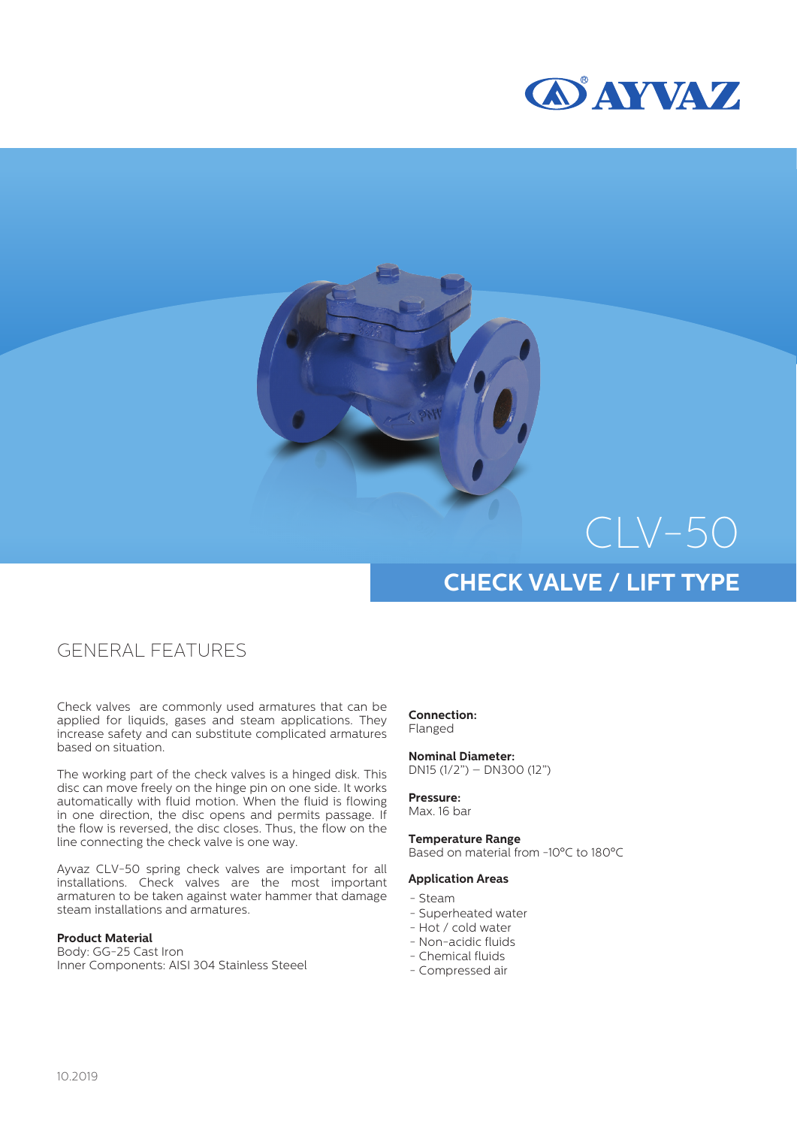



# CLV-50 **CHECK VALVE / LIFT TYPE**

### GENERAL FEATURES

Check valves are commonly used armatures that can be applied for liquids, gases and steam applications. They increase safety and can substitute complicated armatures based on situation.

The working part of the check valves is a hinged disk. This disc can move freely on the hinge pin on one side. It works automatically with fluid motion. When the fluid is flowing in one direction, the disc opens and permits passage. If the flow is reversed, the disc closes. Thus, the flow on the line connecting the check valve is one way.

Ayvaz CLV-50 spring check valves are important for all installations. Check valves are the most important armaturen to be taken against water hammer that damage steam installations and armatures.

#### **Product Material**

Body: GG-25 Cast Iron Inner Components: AISI 304 Stainless Steeel **Connection:** Flanged

**Nominal Diameter:** DN15 (1/2") – DN300 (12")

**Pressure:** Max. 16 bar

**Temperature Range** Based on material from -10°C to 180°C

#### **Application Areas**

- Steam
- Superheated water
- Hot / cold water
- Non-acidic fluids
- Chemical fluids
- Compressed air